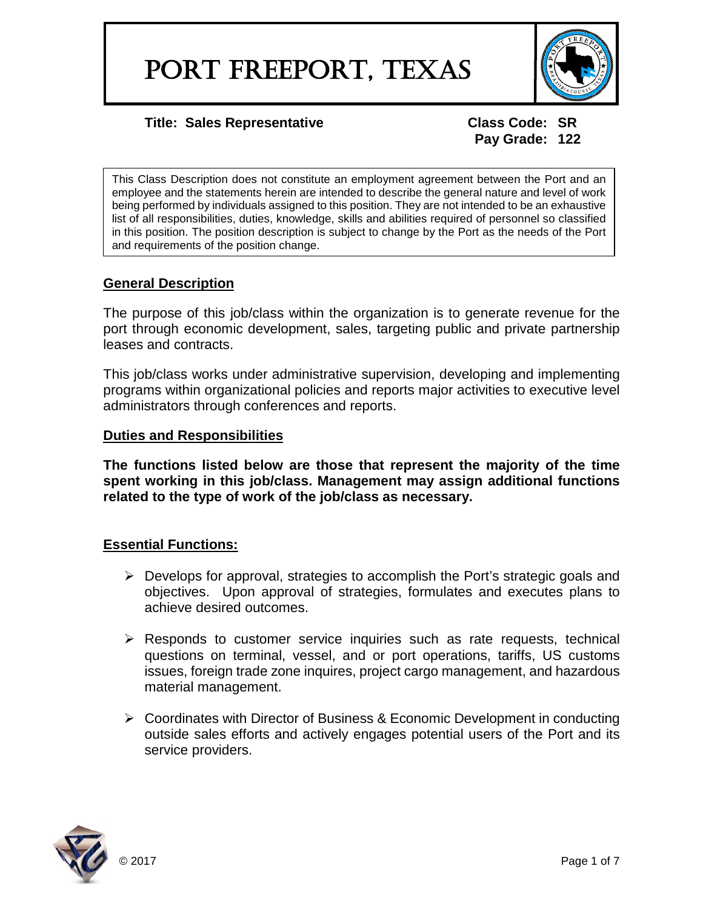

**Pay Grade: 122**

This Class Description does not constitute an employment agreement between the Port and an employee and the statements herein are intended to describe the general nature and level of work being performed by individuals assigned to this position. They are not intended to be an exhaustive list of all responsibilities, duties, knowledge, skills and abilities required of personnel so classified in this position. The position description is subject to change by the Port as the needs of the Port and requirements of the position change.

# **General Description**

The purpose of this job/class within the organization is to generate revenue for the port through economic development, sales, targeting public and private partnership leases and contracts.

This job/class works under administrative supervision, developing and implementing programs within organizational policies and reports major activities to executive level administrators through conferences and reports.

## **Duties and Responsibilities**

**The functions listed below are those that represent the majority of the time spent working in this job/class. Management may assign additional functions related to the type of work of the job/class as necessary.**

# **Essential Functions:**

- $\triangleright$  Develops for approval, strategies to accomplish the Port's strategic goals and objectives. Upon approval of strategies, formulates and executes plans to achieve desired outcomes.
- $\triangleright$  Responds to customer service inquiries such as rate requests, technical questions on terminal, vessel, and or port operations, tariffs, US customs issues, foreign trade zone inquires, project cargo management, and hazardous material management.
- $\triangleright$  Coordinates with Director of Business & Economic Development in conducting outside sales efforts and actively engages potential users of the Port and its service providers.

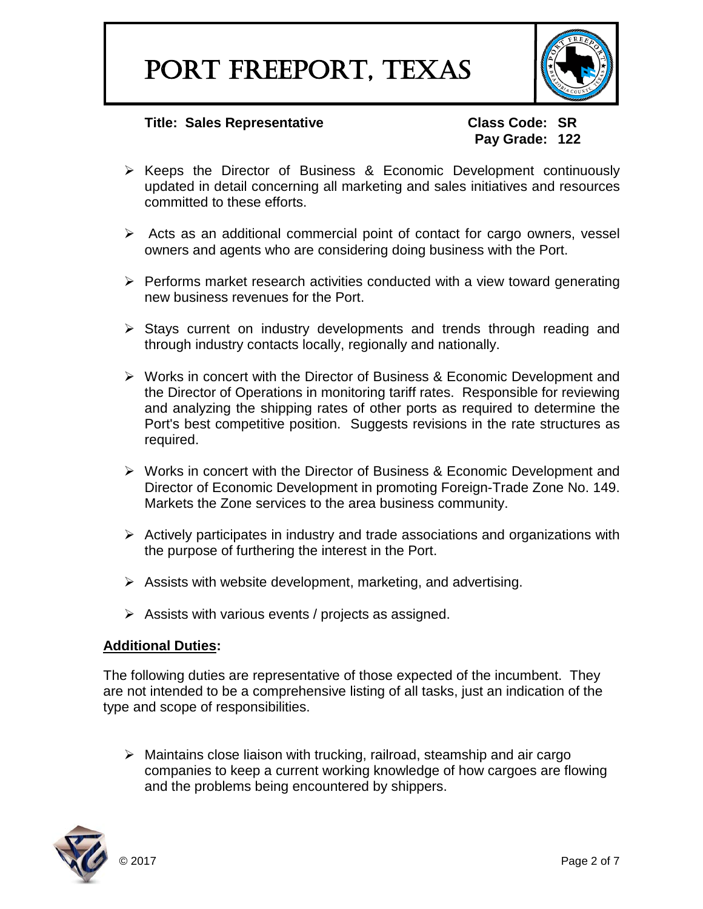

**Pay Grade: 122**

- $\triangleright$  Keeps the Director of Business & Economic Development continuously updated in detail concerning all marketing and sales initiatives and resources committed to these efforts.
- $\triangleright$  Acts as an additional commercial point of contact for cargo owners, vessel owners and agents who are considering doing business with the Port.
- $\triangleright$  Performs market research activities conducted with a view toward generating new business revenues for the Port.
- $\triangleright$  Stays current on industry developments and trends through reading and through industry contacts locally, regionally and nationally.
- Works in concert with the Director of Business & Economic Development and the Director of Operations in monitoring tariff rates. Responsible for reviewing and analyzing the shipping rates of other ports as required to determine the Port's best competitive position. Suggests revisions in the rate structures as required.
- ▶ Works in concert with the Director of Business & Economic Development and Director of Economic Development in promoting Foreign-Trade Zone No. 149. Markets the Zone services to the area business community.
- $\triangleright$  Actively participates in industry and trade associations and organizations with the purpose of furthering the interest in the Port.
- $\triangleright$  Assists with website development, marketing, and advertising.
- $\triangleright$  Assists with various events / projects as assigned.

### **Additional Duties:**

The following duties are representative of those expected of the incumbent. They are not intended to be a comprehensive listing of all tasks, just an indication of the type and scope of responsibilities.

 $\triangleright$  Maintains close liaison with trucking, railroad, steamship and air cargo companies to keep a current working knowledge of how cargoes are flowing and the problems being encountered by shippers.

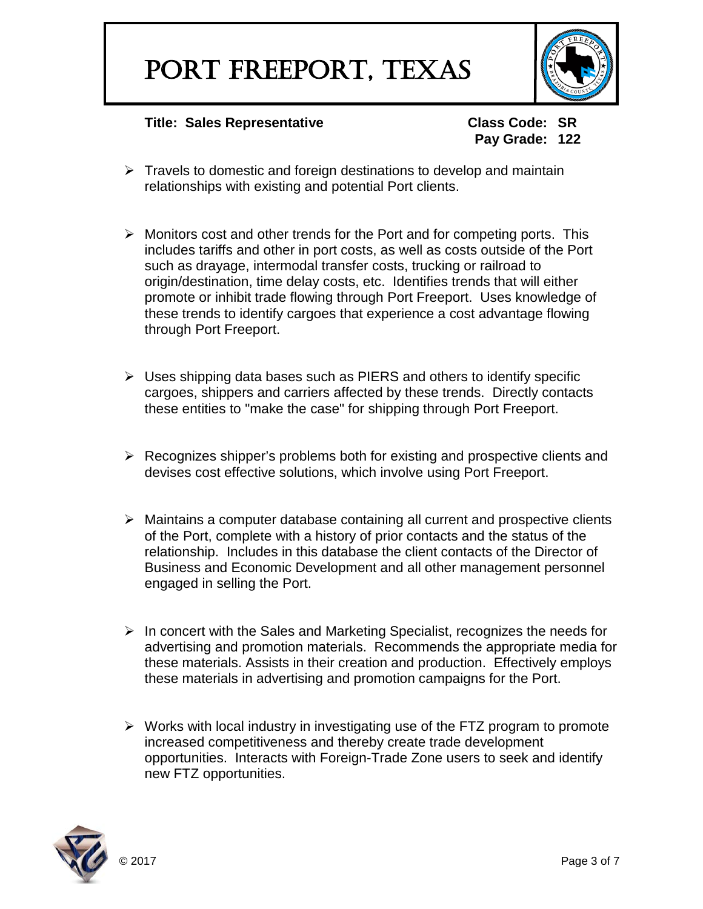

**Pay Grade: 122**

- $\triangleright$  Travels to domestic and foreign destinations to develop and maintain relationships with existing and potential Port clients.
- $\triangleright$  Monitors cost and other trends for the Port and for competing ports. This includes tariffs and other in port costs, as well as costs outside of the Port such as drayage, intermodal transfer costs, trucking or railroad to origin/destination, time delay costs, etc. Identifies trends that will either promote or inhibit trade flowing through Port Freeport. Uses knowledge of these trends to identify cargoes that experience a cost advantage flowing through Port Freeport.
- $\triangleright$  Uses shipping data bases such as PIERS and others to identify specific cargoes, shippers and carriers affected by these trends. Directly contacts these entities to "make the case" for shipping through Port Freeport.
- $\triangleright$  Recognizes shipper's problems both for existing and prospective clients and devises cost effective solutions, which involve using Port Freeport.
- $\triangleright$  Maintains a computer database containing all current and prospective clients of the Port, complete with a history of prior contacts and the status of the relationship. Includes in this database the client contacts of the Director of Business and Economic Development and all other management personnel engaged in selling the Port.
- $\triangleright$  In concert with the Sales and Marketing Specialist, recognizes the needs for advertising and promotion materials. Recommends the appropriate media for these materials. Assists in their creation and production. Effectively employs these materials in advertising and promotion campaigns for the Port.
- $\triangleright$  Works with local industry in investigating use of the FTZ program to promote increased competitiveness and thereby create trade development opportunities. Interacts with Foreign-Trade Zone users to seek and identify new FTZ opportunities.

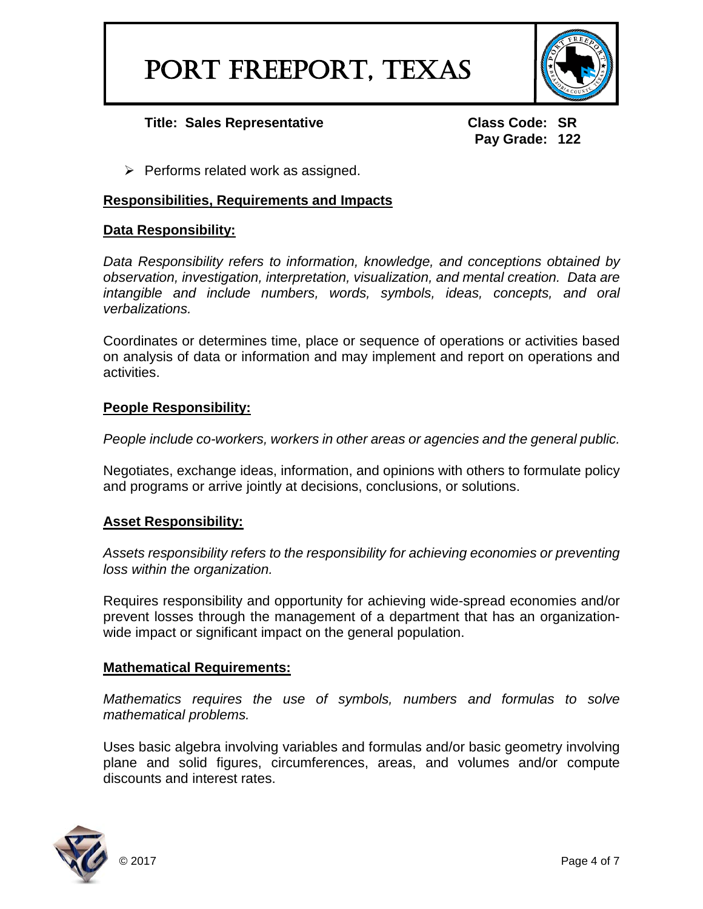

**Pay Grade: 122**

 $\triangleright$  Performs related work as assigned.

#### **Responsibilities, Requirements and Impacts**

#### **Data Responsibility:**

*Data Responsibility refers to information, knowledge, and conceptions obtained by observation, investigation, interpretation, visualization, and mental creation. Data are intangible and include numbers, words, symbols, ideas, concepts, and oral verbalizations.*

Coordinates or determines time, place or sequence of operations or activities based on analysis of data or information and may implement and report on operations and activities.

#### **People Responsibility:**

*People include co-workers, workers in other areas or agencies and the general public.*

Negotiates, exchange ideas, information, and opinions with others to formulate policy and programs or arrive jointly at decisions, conclusions, or solutions.

### **Asset Responsibility:**

*Assets responsibility refers to the responsibility for achieving economies or preventing loss within the organization.*

Requires responsibility and opportunity for achieving wide-spread economies and/or prevent losses through the management of a department that has an organizationwide impact or significant impact on the general population.

#### **Mathematical Requirements:**

*Mathematics requires the use of symbols, numbers and formulas to solve mathematical problems.*

Uses basic algebra involving variables and formulas and/or basic geometry involving plane and solid figures, circumferences, areas, and volumes and/or compute discounts and interest rates.

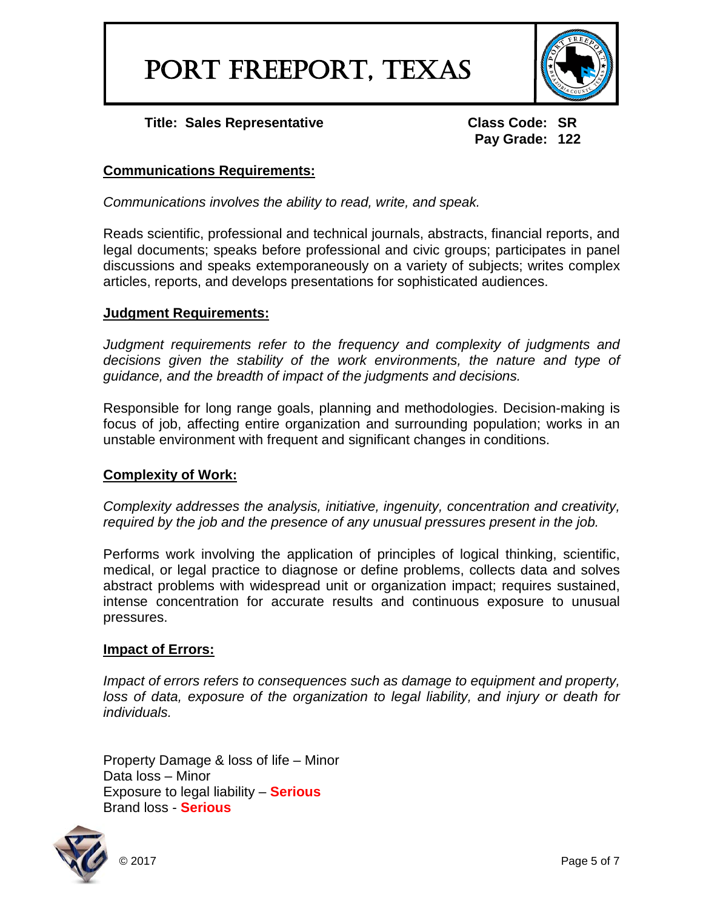PORT FREEPORT, TEXAS



**Title: Sales Representative Class Code: SR**

**Pay Grade: 122**

### **Communications Requirements:**

*Communications involves the ability to read, write, and speak.*

Reads scientific, professional and technical journals, abstracts, financial reports, and legal documents; speaks before professional and civic groups; participates in panel discussions and speaks extemporaneously on a variety of subjects; writes complex articles, reports, and develops presentations for sophisticated audiences.

### **Judgment Requirements:**

*Judgment requirements refer to the frequency and complexity of judgments and decisions given the stability of the work environments, the nature and type of guidance, and the breadth of impact of the judgments and decisions.*

Responsible for long range goals, planning and methodologies. Decision-making is focus of job, affecting entire organization and surrounding population; works in an unstable environment with frequent and significant changes in conditions.

### **Complexity of Work:**

*Complexity addresses the analysis, initiative, ingenuity, concentration and creativity, required by the job and the presence of any unusual pressures present in the job.*

Performs work involving the application of principles of logical thinking, scientific, medical, or legal practice to diagnose or define problems, collects data and solves abstract problems with widespread unit or organization impact; requires sustained, intense concentration for accurate results and continuous exposure to unusual pressures.

### **Impact of Errors:**

*Impact of errors refers to consequences such as damage to equipment and property,*  loss of data, exposure of the organization to legal liability, and injury or death for *individuals.*

Property Damage & loss of life – Minor Data loss – Minor Exposure to legal liability – **Serious** Brand loss - **Serious**

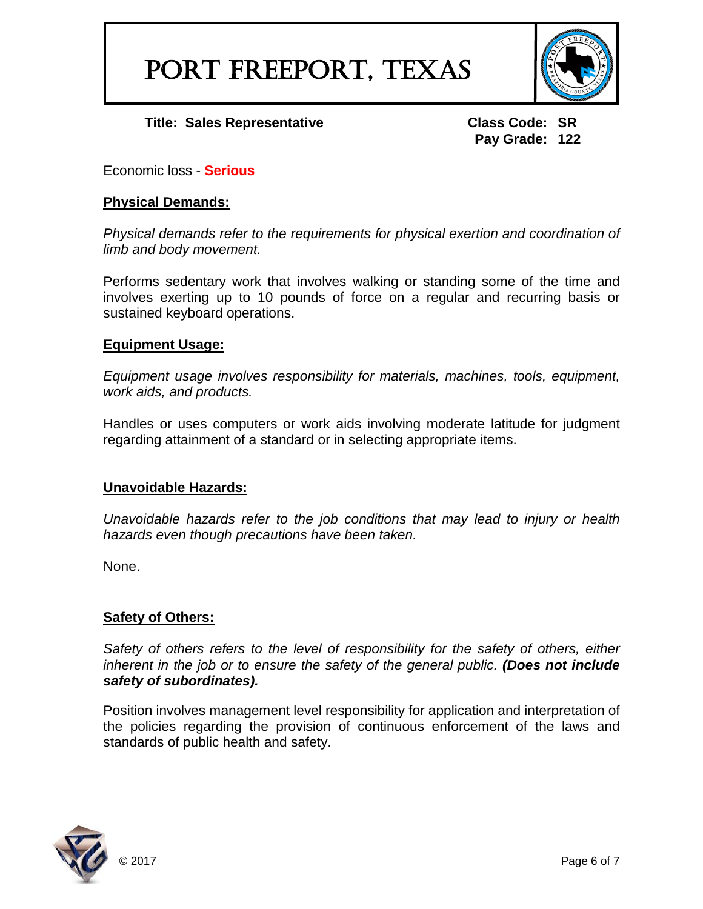

**Pay Grade: 122**

Economic loss - **Serious**

## **Physical Demands:**

*Physical demands refer to the requirements for physical exertion and coordination of limb and body movement.*

Performs sedentary work that involves walking or standing some of the time and involves exerting up to 10 pounds of force on a regular and recurring basis or sustained keyboard operations.

## **Equipment Usage:**

*Equipment usage involves responsibility for materials, machines, tools, equipment, work aids, and products.*

Handles or uses computers or work aids involving moderate latitude for judgment regarding attainment of a standard or in selecting appropriate items.

# **Unavoidable Hazards:**

*Unavoidable hazards refer to the job conditions that may lead to injury or health hazards even though precautions have been taken.*

None.

# **Safety of Others:**

*Safety of others refers to the level of responsibility for the safety of others, either inherent in the job or to ensure the safety of the general public. (Does not include safety of subordinates).*

Position involves management level responsibility for application and interpretation of the policies regarding the provision of continuous enforcement of the laws and standards of public health and safety.